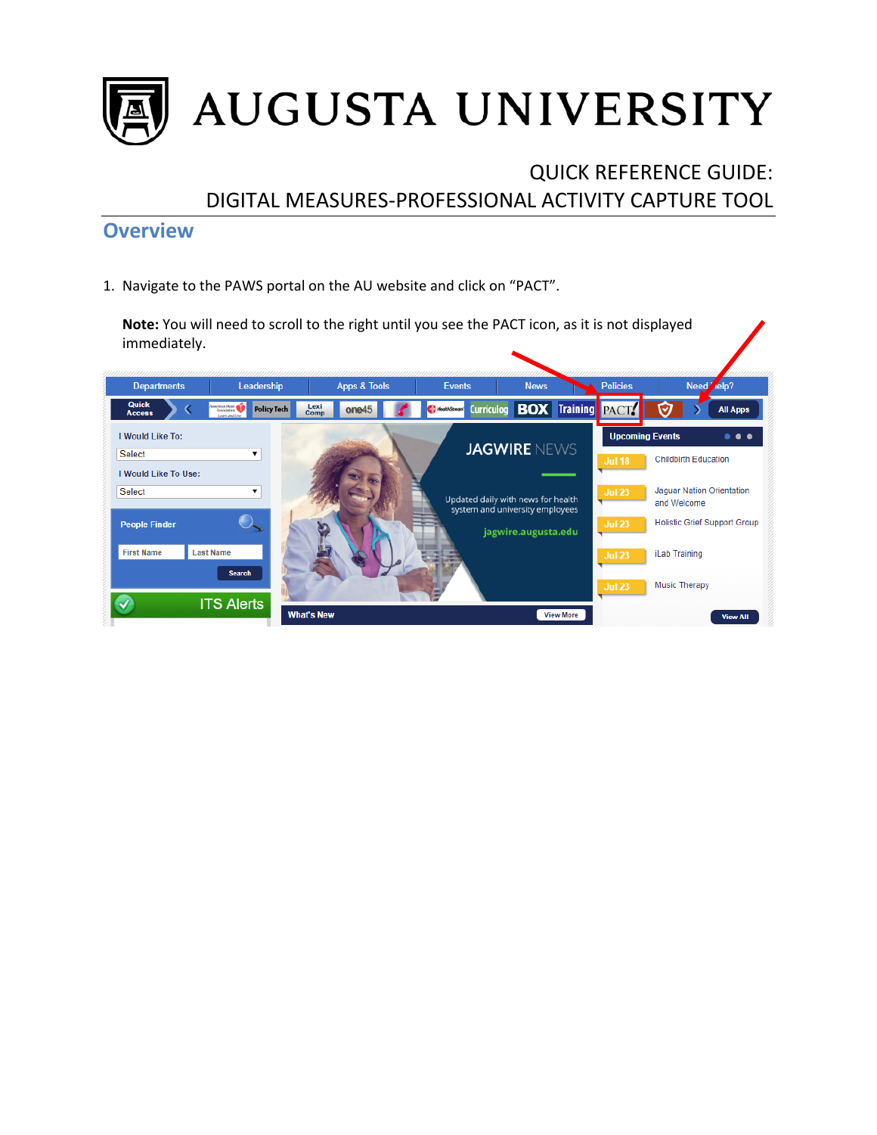

# QUICK REFERENCE GUIDE: DIGITAL MEASURES-PROFESSIONAL ACTIVITY CAPTURE TOOL

## **Overview**

1. Navigate to the PAWS portal on the AU website and click on "PACT".

**Note:** You will need to scroll to the right until you see the PACT icon, as it is not displayed immediately.

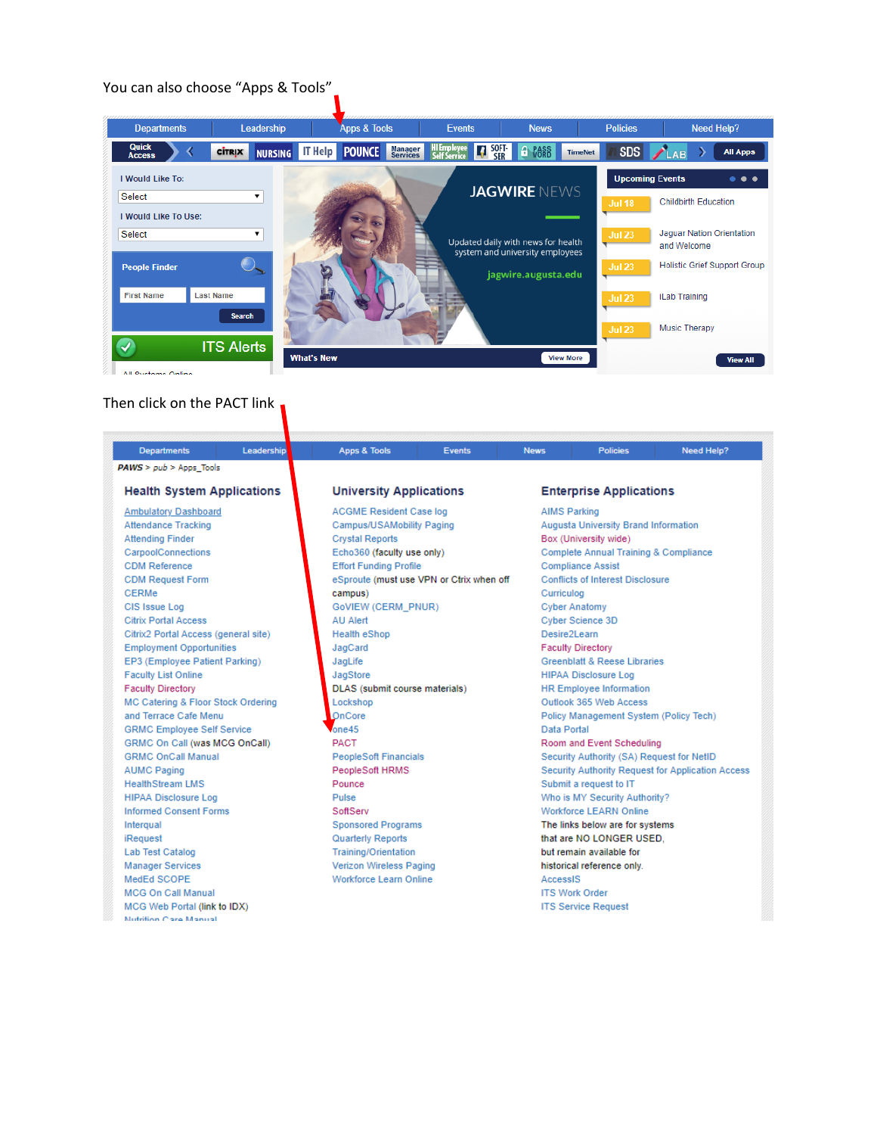### You can also choose "Apps & Tools"



Then click on the PACT link

| <b>Departments</b>                   | Leadership | Apps & Tools             | <b>Events</b>                            | <b>News</b> | <b>Policies</b>                                   | Need Help? |  |  |
|--------------------------------------|------------|--------------------------|------------------------------------------|-------------|---------------------------------------------------|------------|--|--|
| $PAWS > pub > Apps$ Tools            |            |                          |                                          |             |                                                   |            |  |  |
| <b>Health System Applications</b>    |            |                          | <b>University Applications</b>           |             | <b>Enterprise Applications</b>                    |            |  |  |
| <b>Ambulatory Dashboard</b>          |            |                          | <b>ACGME Resident Case log</b>           |             | <b>AIMS Parking</b>                               |            |  |  |
| <b>Attendance Tracking</b>           |            |                          | Campus/USAMobility Paging                |             | Augusta University Brand Information              |            |  |  |
| <b>Attending Finder</b>              |            | <b>Crystal Reports</b>   |                                          |             | Box (University wide)                             |            |  |  |
| CarpoolConnections                   |            |                          | Echo360 (faculty use only)               |             | Complete Annual Training & Compliance             |            |  |  |
| <b>CDM Reference</b>                 |            |                          | <b>Effort Funding Profile</b>            |             | <b>Compliance Assist</b>                          |            |  |  |
| <b>CDM Request Form</b>              |            |                          | eSproute (must use VPN or Ctrix when off |             | <b>Conflicts of Interest Disclosure</b>           |            |  |  |
| <b>CERMe</b>                         |            | campus)                  |                                          |             | Curriculog                                        |            |  |  |
| CIS Issue Log                        |            |                          | GoVIEW (CERM_PNUR)                       |             | <b>Cyber Anatomy</b>                              |            |  |  |
| <b>Citrix Portal Access</b>          |            | AU Alert                 |                                          |             | Cyber Science 3D                                  |            |  |  |
| Citrix2 Portal Access (general site) |            | <b>Health eShop</b>      |                                          |             | Desire2Learn                                      |            |  |  |
| <b>Employment Opportunities</b>      |            | JagCard                  |                                          |             | <b>Faculty Directory</b>                          |            |  |  |
| EP3 (Employee Patient Parking)       |            | JagLife                  |                                          |             | <b>Greenblatt &amp; Reese Libraries</b>           |            |  |  |
| <b>Faculty List Online</b>           |            | JagStore                 |                                          |             | <b>HIPAA Disclosure Log</b>                       |            |  |  |
| <b>Faculty Directory</b>             |            |                          | DLAS (submit course materials)           |             | <b>HR Employee Information</b>                    |            |  |  |
| MC Catering & Floor Stock Ordering   |            | Lockshop                 |                                          |             | Outlook 365 Web Access                            |            |  |  |
| and Terrace Cafe Menu                |            | OnCore                   |                                          |             | Policy Management System (Policy Tech)            |            |  |  |
| <b>GRMC Employee Self Service</b>    |            | one45                    |                                          |             | Data Portal                                       |            |  |  |
| GRMC On Call (was MCG OnCall)        |            | <b>PACT</b>              |                                          |             | Room and Event Scheduling                         |            |  |  |
| <b>GRMC OnCall Manual</b>            |            |                          | <b>PeopleSoft Financials</b>             |             | Security Authority (SA) Request for NetID         |            |  |  |
| <b>AUMC Paging</b>                   |            | PeopleSoft HRMS          |                                          |             | Security Authority Request for Application Access |            |  |  |
| <b>HealthStream LMS</b>              |            | Pounce                   | Submit a request to IT                   |             |                                                   |            |  |  |
| <b>HIPAA Disclosure Log</b>          |            | Pulse                    |                                          |             | Who is MY Security Authority?                     |            |  |  |
| <b>Informed Consent Forms</b>        |            | SoftServ                 |                                          |             | <b>Workforce LEARN Online</b>                     |            |  |  |
| Intergual                            |            |                          | <b>Sponsored Programs</b>                |             | The links below are for systems                   |            |  |  |
| iRequest                             |            | <b>Quarterly Reports</b> |                                          |             | that are NO LONGER USED.                          |            |  |  |
| <b>Lab Test Catalog</b>              |            |                          | <b>Training/Orientation</b>              |             | but remain available for                          |            |  |  |
| <b>Manager Services</b>              |            |                          | <b>Verizon Wireless Paging</b>           |             | historical reference only.                        |            |  |  |
| MedEd SCOPE                          |            |                          | Workforce Learn Online                   |             | AccessIS                                          |            |  |  |
| <b>MCG On Call Manual</b>            |            |                          |                                          |             | <b>ITS Work Order</b>                             |            |  |  |
| MCG Web Portal (link to IDX)         |            |                          |                                          |             | <b>ITS Service Request</b>                        |            |  |  |
| Mutrition Care Manual                |            |                          |                                          |             |                                                   |            |  |  |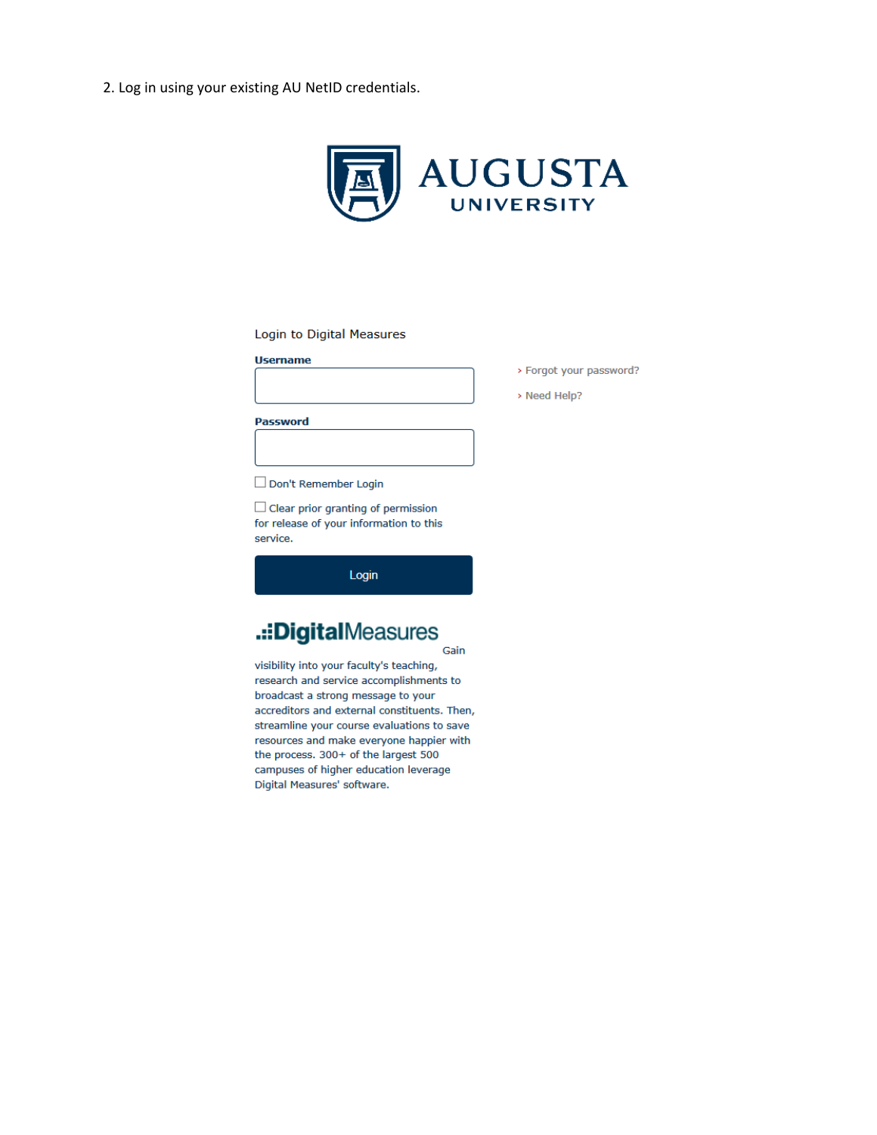2. Log in using your existing AU NetID credentials.



#### Login to Digital Measures

#### **Username**



**Password** 



Don't Remember Login

 $\Box$  Clear prior granting of permission for release of your information to this service.

Login

### .::DigitalMeasures Gain

visibility into your faculty's teaching, research and service accomplishments to broadcast a strong message to your accreditors and external constituents. Then, streamline your course evaluations to save resources and make everyone happier with the process. 300+ of the largest 500 campuses of higher education leverage Digital Measures' software.

- > Forgot your password?
- > Need Help?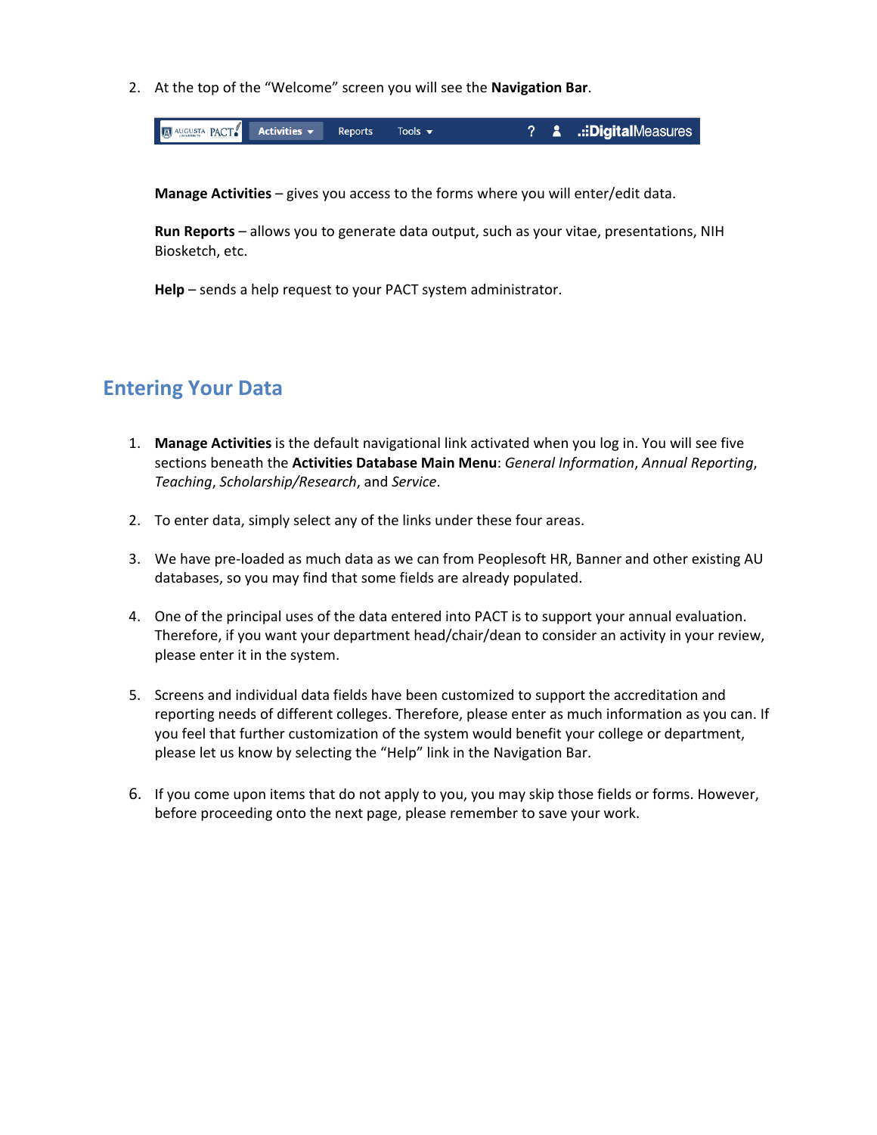2. At the top of the "Welcome" screen you will see the **Navigation Bar**.



**Manage Activities** – gives you access to the forms where you will enter/edit data.

**Run Reports** – allows you to generate data output, such as your vitae, presentations, NIH Biosketch, etc.

**Help** – sends a help request to your PACT system administrator.

## **Entering Your Data**

- 1. **Manage Activities** is the default navigational link activated when you log in. You will see five sections beneath the **Activities Database Main Menu**: *General Information*, *Annual Reporting*, *Teaching*, *Scholarship/Research*, and *Service*.
- 2. To enter data, simply select any of the links under these four areas.
- 3. We have pre-loaded as much data as we can from Peoplesoft HR, Banner and other existing AU databases, so you may find that some fields are already populated.
- 4. One of the principal uses of the data entered into PACT is to support your annual evaluation. Therefore, if you want your department head/chair/dean to consider an activity in your review, please enter it in the system.
- 5. Screens and individual data fields have been customized to support the accreditation and reporting needs of different colleges. Therefore, please enter as much information as you can. If you feel that further customization of the system would benefit your college or department, please let us know by selecting the "Help" link in the Navigation Bar.
- 6. If you come upon items that do not apply to you, you may skip those fields or forms. However, before proceeding onto the next page, please remember to save your work.